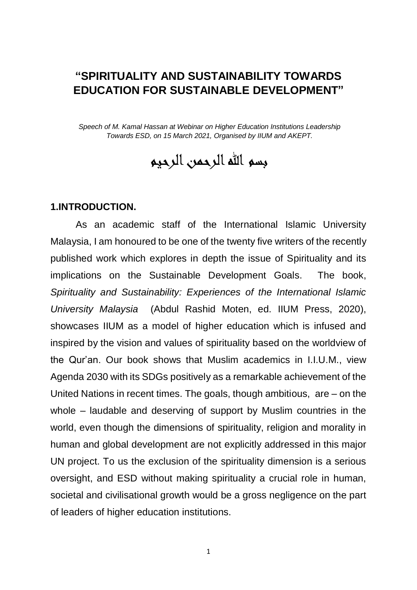# **"SPIRITUALITY AND SUSTAINABILITY TOWARDS EDUCATION FOR SUSTAINABLE DEVELOPMENT"**

*Speech of M. Kamal Hassan at Webinar on Higher Education Institutions Leadership Towards ESD, on 15 March 2021, Organised by IIUM and AKEPT.*

بسم الله الرحمن الرحيم

#### **1.INTRODUCTION.**

As an academic staff of the International Islamic University Malaysia, I am honoured to be one of the twenty five writers of the recently published work which explores in depth the issue of Spirituality and its implications on the Sustainable Development Goals. The book, *Spirituality and Sustainability: Experiences of the International Islamic University Malaysia* (Abdul Rashid Moten, ed. IIUM Press, 2020), showcases IIUM as a model of higher education which is infused and inspired by the vision and values of spirituality based on the worldview of the Qur'an. Our book shows that Muslim academics in I.I.U.M., view Agenda 2030 with its SDGs positively as a remarkable achievement of the United Nations in recent times. The goals, though ambitious, are – on the whole – laudable and deserving of support by Muslim countries in the world, even though the dimensions of spirituality, religion and morality in human and global development are not explicitly addressed in this major UN project. To us the exclusion of the spirituality dimension is a serious oversight, and ESD without making spirituality a crucial role in human, societal and civilisational growth would be a gross negligence on the part of leaders of higher education institutions.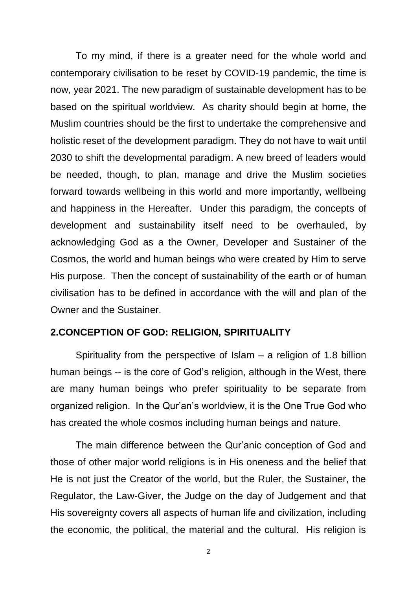To my mind, if there is a greater need for the whole world and contemporary civilisation to be reset by COVID-19 pandemic, the time is now, year 2021. The new paradigm of sustainable development has to be based on the spiritual worldview. As charity should begin at home, the Muslim countries should be the first to undertake the comprehensive and holistic reset of the development paradigm. They do not have to wait until 2030 to shift the developmental paradigm. A new breed of leaders would be needed, though, to plan, manage and drive the Muslim societies forward towards wellbeing in this world and more importantly, wellbeing and happiness in the Hereafter. Under this paradigm, the concepts of development and sustainability itself need to be overhauled, by acknowledging God as a the Owner, Developer and Sustainer of the Cosmos, the world and human beings who were created by Him to serve His purpose. Then the concept of sustainability of the earth or of human civilisation has to be defined in accordance with the will and plan of the Owner and the Sustainer.

#### **2.CONCEPTION OF GOD: RELIGION, SPIRITUALITY**

Spirituality from the perspective of Islam  $-$  a religion of 1.8 billion human beings -- is the core of God's religion, although in the West, there are many human beings who prefer spirituality to be separate from organized religion. In the Qur'an's worldview, it is the One True God who has created the whole cosmos including human beings and nature.

The main difference between the Qur'anic conception of God and those of other major world religions is in His oneness and the belief that He is not just the Creator of the world, but the Ruler, the Sustainer, the Regulator, the Law-Giver, the Judge on the day of Judgement and that His sovereignty covers all aspects of human life and civilization, including the economic, the political, the material and the cultural. His religion is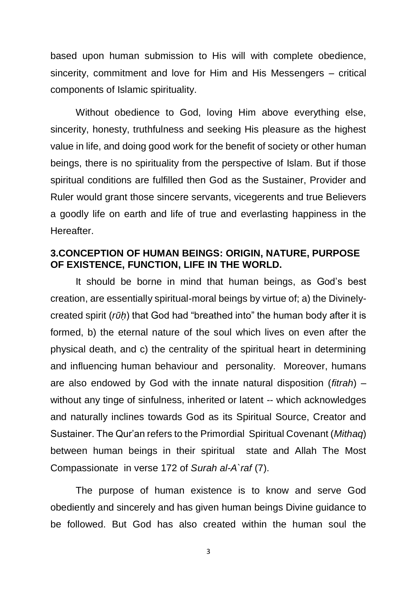based upon human submission to His will with complete obedience, sincerity, commitment and love for Him and His Messengers – critical components of Islamic spirituality.

Without obedience to God, loving Him above everything else, sincerity, honesty, truthfulness and seeking His pleasure as the highest value in life, and doing good work for the benefit of society or other human beings, there is no spirituality from the perspective of Islam. But if those spiritual conditions are fulfilled then God as the Sustainer, Provider and Ruler would grant those sincere servants, vicegerents and true Believers a goodly life on earth and life of true and everlasting happiness in the Hereafter.

## **3.CONCEPTION OF HUMAN BEINGS: ORIGIN, NATURE, PURPOSE OF EXISTENCE, FUNCTION, LIFE IN THE WORLD.**

It should be borne in mind that human beings, as God's best creation, are essentially spiritual-moral beings by virtue of; a) the Divinelycreated spirit (*rῡḥ*) that God had "breathed into" the human body after it is formed, b) the eternal nature of the soul which lives on even after the physical death, and c) the centrality of the spiritual heart in determining and influencing human behaviour and personality. Moreover, humans are also endowed by God with the innate natural disposition (*fitrah*) – without any tinge of sinfulness, inherited or latent -- which acknowledges and naturally inclines towards God as its Spiritual Source, Creator and Sustainer. The Qur'an refers to the Primordial Spiritual Covenant (*Mithaq*) between human beings in their spiritual state and Allah The Most Compassionate in verse 172 of *Surah al-A`raf* (7).

The purpose of human existence is to know and serve God obediently and sincerely and has given human beings Divine guidance to be followed. But God has also created within the human soul the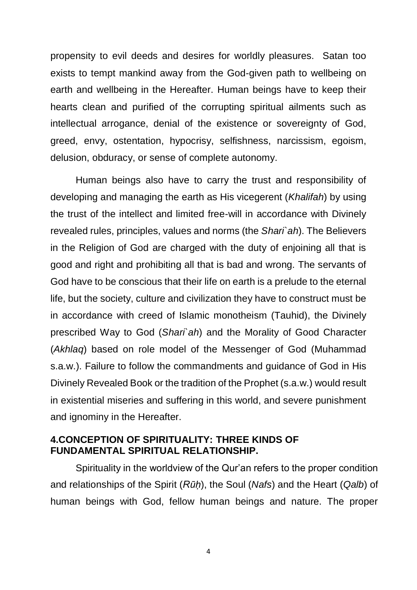propensity to evil deeds and desires for worldly pleasures. Satan too exists to tempt mankind away from the God-given path to wellbeing on earth and wellbeing in the Hereafter. Human beings have to keep their hearts clean and purified of the corrupting spiritual ailments such as intellectual arrogance, denial of the existence or sovereignty of God, greed, envy, ostentation, hypocrisy, selfishness, narcissism, egoism, delusion, obduracy, or sense of complete autonomy.

Human beings also have to carry the trust and responsibility of developing and managing the earth as His vicegerent (*Khalifah*) by using the trust of the intellect and limited free-will in accordance with Divinely revealed rules, principles, values and norms (the *Shari`ah*). The Believers in the Religion of God are charged with the duty of enjoining all that is good and right and prohibiting all that is bad and wrong. The servants of God have to be conscious that their life on earth is a prelude to the eternal life, but the society, culture and civilization they have to construct must be in accordance with creed of Islamic monotheism (Tauhid), the Divinely prescribed Way to God (*Shari`ah*) and the Morality of Good Character (*Akhlaq*) based on role model of the Messenger of God (Muhammad s.a.w.). Failure to follow the commandments and guidance of God in His Divinely Revealed Book or the tradition of the Prophet (s.a.w.) would result in existential miseries and suffering in this world, and severe punishment and ignominy in the Hereafter.

## **4.CONCEPTION OF SPIRITUALITY: THREE KINDS OF FUNDAMENTAL SPIRITUAL RELATIONSHIP.**

Spirituality in the worldview of the Qur'an refers to the proper condition and relationships of the Spirit (*Rūḥ*), the Soul (*Nafs*) and the Heart (*Qalb*) of human beings with God, fellow human beings and nature. The proper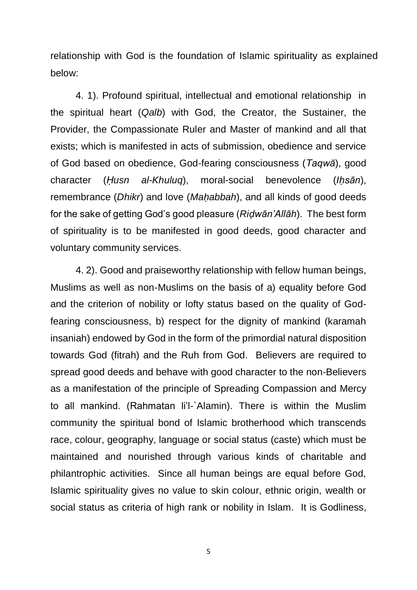relationship with God is the foundation of Islamic spirituality as explained below:

4. 1). Profound spiritual, intellectual and emotional relationship in the spiritual heart (*Qalb*) with God, the Creator, the Sustainer, the Provider, the Compassionate Ruler and Master of mankind and all that exists; which is manifested in acts of submission, obedience and service of God based on obedience, God-fearing consciousness (*Taqwā*), good character (*Ḥusn al-Khuluq*), moral-social benevolence (*Iḥsān*), remembrance (*Dhikr*) and love (*Maḥabbah*), and all kinds of good deeds for the sake of getting God's good pleasure (*Riḍwān'Allāh*). The best form of spirituality is to be manifested in good deeds, good character and voluntary community services.

4. 2). Good and praiseworthy relationship with fellow human beings, Muslims as well as non-Muslims on the basis of a) equality before God and the criterion of nobility or lofty status based on the quality of Godfearing consciousness, b) respect for the dignity of mankind (karamah insaniah) endowed by God in the form of the primordial natural disposition towards God (fitrah) and the Ruh from God. Believers are required to spread good deeds and behave with good character to the non-Believers as a manifestation of the principle of Spreading Compassion and Mercy to all mankind. (Rahmatan li'l-`Alamin). There is within the Muslim community the spiritual bond of Islamic brotherhood which transcends race, colour, geography, language or social status (caste) which must be maintained and nourished through various kinds of charitable and philantrophic activities. Since all human beings are equal before God, Islamic spirituality gives no value to skin colour, ethnic origin, wealth or social status as criteria of high rank or nobility in Islam. It is Godliness,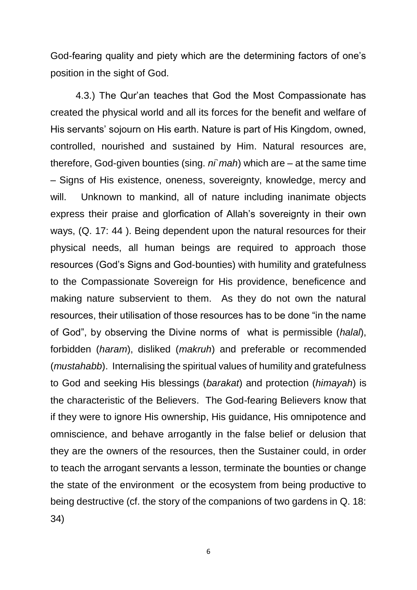God-fearing quality and piety which are the determining factors of one's position in the sight of God.

4.3.) The Qur'an teaches that God the Most Compassionate has created the physical world and all its forces for the benefit and welfare of His servants' sojourn on His earth. Nature is part of His Kingdom, owned, controlled, nourished and sustained by Him. Natural resources are, therefore, God-given bounties (sing. *ni`mah*) which are – at the same time – Signs of His existence, oneness, sovereignty, knowledge, mercy and will. Unknown to mankind, all of nature including inanimate objects express their praise and glorfication of Allah's sovereignty in their own ways, (Q. 17: 44 ). Being dependent upon the natural resources for their physical needs, all human beings are required to approach those resources (God's Signs and God-bounties) with humility and gratefulness to the Compassionate Sovereign for His providence, beneficence and making nature subservient to them. As they do not own the natural resources, their utilisation of those resources has to be done "in the name of God", by observing the Divine norms of what is permissible (*halal*), forbidden (*haram*), disliked (*makruh*) and preferable or recommended (*mustahabb*). Internalising the spiritual values of humility and gratefulness to God and seeking His blessings (*barakat*) and protection (*himayah*) is the characteristic of the Believers. The God-fearing Believers know that if they were to ignore His ownership, His guidance, His omnipotence and omniscience, and behave arrogantly in the false belief or delusion that they are the owners of the resources, then the Sustainer could, in order to teach the arrogant servants a lesson, terminate the bounties or change the state of the environment or the ecosystem from being productive to being destructive (cf. the story of the companions of two gardens in Q. 18: 34)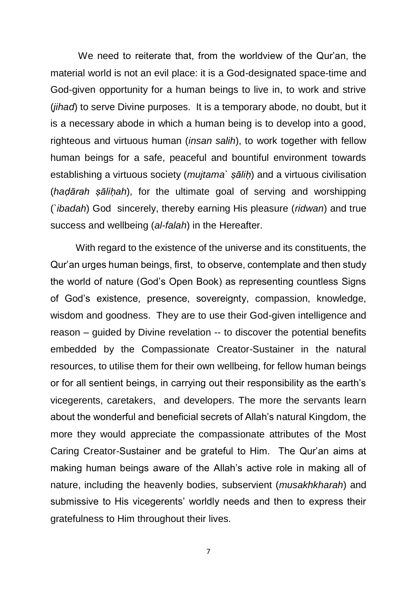We need to reiterate that, from the worldview of the Qur'an, the material world is not an evil place: it is a God-designated space-time and God-given opportunity for a human beings to live in, to work and strive (*jihad*) to serve Divine purposes. It is a temporary abode, no doubt, but it is a necessary abode in which a human being is to develop into a good, righteous and virtuous human (*insan salih*), to work together with fellow human beings for a safe, peaceful and bountiful environment towards establishing a virtuous society (*mujtama` ṣāliḥ*) and a virtuous civilisation (*haḍārah ṣāliḥah*), for the ultimate goal of serving and worshipping (*`ibadah*) God sincerely, thereby earning His pleasure (*ridwan*) and true success and wellbeing (*al-falah*) in the Hereafter.

With regard to the existence of the universe and its constituents, the Qur'an urges human beings, first, to observe, contemplate and then study the world of nature (God's Open Book) as representing countless Signs of God's existence, presence, sovereignty, compassion, knowledge, wisdom and goodness. They are to use their God-given intelligence and reason – guided by Divine revelation -- to discover the potential benefits embedded by the Compassionate Creator-Sustainer in the natural resources, to utilise them for their own wellbeing, for fellow human beings or for all sentient beings, in carrying out their responsibility as the earth's vicegerents, caretakers, and developers. The more the servants learn about the wonderful and beneficial secrets of Allah's natural Kingdom, the more they would appreciate the compassionate attributes of the Most Caring Creator-Sustainer and be grateful to Him. The Qur'an aims at making human beings aware of the Allah's active role in making all of nature, including the heavenly bodies, subservient (*musakhkharah*) and submissive to His vicegerents' worldly needs and then to express their gratefulness to Him throughout their lives.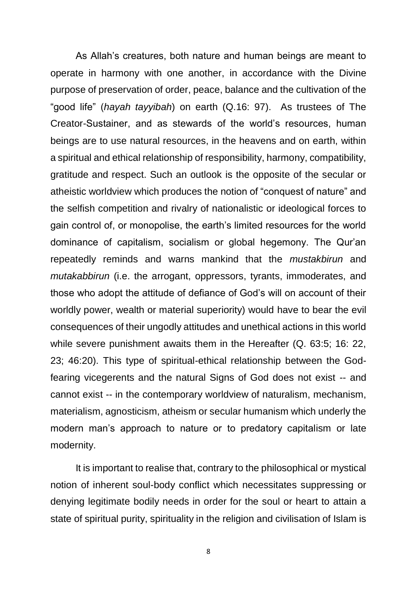As Allah's creatures, both nature and human beings are meant to operate in harmony with one another, in accordance with the Divine purpose of preservation of order, peace, balance and the cultivation of the "good life" (*hayah tayyibah*) on earth (Q.16: 97). As trustees of The Creator-Sustainer, and as stewards of the world's resources, human beings are to use natural resources, in the heavens and on earth, within a spiritual and ethical relationship of responsibility, harmony, compatibility, gratitude and respect. Such an outlook is the opposite of the secular or atheistic worldview which produces the notion of "conquest of nature" and the selfish competition and rivalry of nationalistic or ideological forces to gain control of, or monopolise, the earth's limited resources for the world dominance of capitalism, socialism or global hegemony. The Qur'an repeatedly reminds and warns mankind that the *mustakbirun* and *mutakabbirun* (i.e. the arrogant, oppressors, tyrants, immoderates, and those who adopt the attitude of defiance of God's will on account of their worldly power, wealth or material superiority) would have to bear the evil consequences of their ungodly attitudes and unethical actions in this world while severe punishment awaits them in the Hereafter (Q. 63:5; 16: 22, 23; 46:20). This type of spiritual-ethical relationship between the Godfearing vicegerents and the natural Signs of God does not exist -- and cannot exist -- in the contemporary worldview of naturalism, mechanism, materialism, agnosticism, atheism or secular humanism which underly the modern man's approach to nature or to predatory capitalism or late modernity.

It is important to realise that, contrary to the philosophical or mystical notion of inherent soul-body conflict which necessitates suppressing or denying legitimate bodily needs in order for the soul or heart to attain a state of spiritual purity, spirituality in the religion and civilisation of Islam is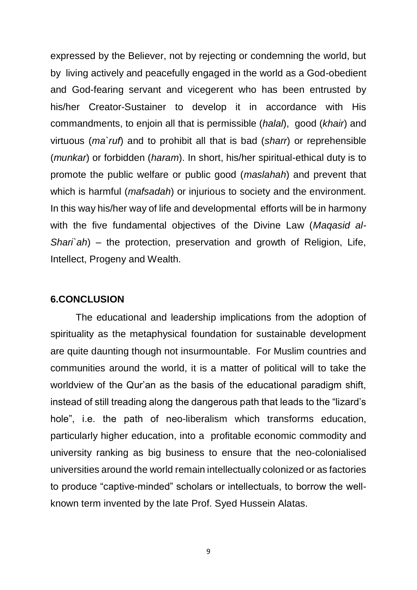expressed by the Believer, not by rejecting or condemning the world, but by living actively and peacefully engaged in the world as a God-obedient and God-fearing servant and vicegerent who has been entrusted by his/her Creator-Sustainer to develop it in accordance with His commandments, to enjoin all that is permissible (*halal*), good (*khair*) and virtuous (*ma`ruf*) and to prohibit all that is bad (*sharr*) or reprehensible (*munkar*) or forbidden (*haram*). In short, his/her spiritual-ethical duty is to promote the public welfare or public good (*maslahah*) and prevent that which is harmful (*mafsadah*) or injurious to society and the environment. In this way his/her way of life and developmental efforts will be in harmony with the five fundamental objectives of the Divine Law (*Maqasid al-Shari`ah*) – the protection, preservation and growth of Religion, Life, Intellect, Progeny and Wealth.

### **6.CONCLUSION**

The educational and leadership implications from the adoption of spirituality as the metaphysical foundation for sustainable development are quite daunting though not insurmountable. For Muslim countries and communities around the world, it is a matter of political will to take the worldview of the Qur'an as the basis of the educational paradigm shift, instead of still treading along the dangerous path that leads to the "lizard's hole", i.e. the path of neo-liberalism which transforms education, particularly higher education, into a profitable economic commodity and university ranking as big business to ensure that the neo-colonialised universities around the world remain intellectually colonized or as factories to produce "captive-minded" scholars or intellectuals, to borrow the wellknown term invented by the late Prof. Syed Hussein Alatas.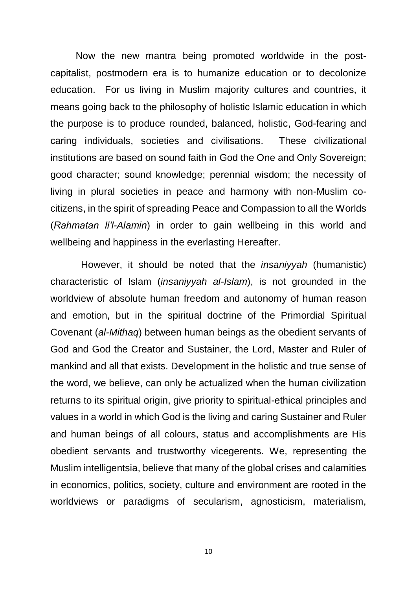Now the new mantra being promoted worldwide in the postcapitalist, postmodern era is to humanize education or to decolonize education. For us living in Muslim majority cultures and countries, it means going back to the philosophy of holistic Islamic education in which the purpose is to produce rounded, balanced, holistic, God-fearing and caring individuals, societies and civilisations. These civilizational institutions are based on sound faith in God the One and Only Sovereign; good character; sound knowledge; perennial wisdom; the necessity of living in plural societies in peace and harmony with non-Muslim cocitizens, in the spirit of spreading Peace and Compassion to all the Worlds (*Rahmatan li'l-Alamin*) in order to gain wellbeing in this world and wellbeing and happiness in the everlasting Hereafter.

 However, it should be noted that the *insaniyyah* (humanistic) characteristic of Islam (*insaniyyah al-Islam*), is not grounded in the worldview of absolute human freedom and autonomy of human reason and emotion, but in the spiritual doctrine of the Primordial Spiritual Covenant (*al-Mithaq*) between human beings as the obedient servants of God and God the Creator and Sustainer, the Lord, Master and Ruler of mankind and all that exists. Development in the holistic and true sense of the word, we believe, can only be actualized when the human civilization returns to its spiritual origin, give priority to spiritual-ethical principles and values in a world in which God is the living and caring Sustainer and Ruler and human beings of all colours, status and accomplishments are His obedient servants and trustworthy vicegerents. We, representing the Muslim intelligentsia, believe that many of the global crises and calamities in economics, politics, society, culture and environment are rooted in the worldviews or paradigms of secularism, agnosticism, materialism,